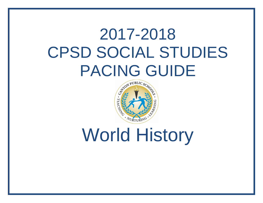## 2017-2018 CPSD SOCIAL STUDIES PACING GUIDE



World History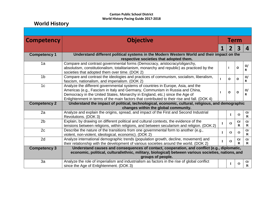## **Canton Public School District World History Pacing Guide 2017-2018**

## **World History**

| <b>Competency</b>   | <b>Objective</b>                                                                                                                                                                                                                                                                                                                               | Term        |              |                              |                           |  |  |  |
|---------------------|------------------------------------------------------------------------------------------------------------------------------------------------------------------------------------------------------------------------------------------------------------------------------------------------------------------------------------------------|-------------|--------------|------------------------------|---------------------------|--|--|--|
|                     |                                                                                                                                                                                                                                                                                                                                                | 1           | $\mathbf{Z}$ | $\overline{\mathbf{3}}$      | 4                         |  |  |  |
| <b>Competency 1</b> | Understand different political systems in the Modern Western World and their impact on the<br>respective societies that adopted them.                                                                                                                                                                                                          |             |              |                              |                           |  |  |  |
| 1a                  | Compare and contrast governmental forms (Democracy, aristocracy/oligarchy,<br>absolutism, constitutionalism, totalitarianism, monarchy and republic) as practiced by the<br>societies that adopted them over time. (DOK 2)                                                                                                                     |             | п            | O                            | O/<br>R                   |  |  |  |
| 1 <sub>b</sub>      | Compare and contrast the ideologies and practices of communism, socialism, liberalism,<br>fascism, nationalism, and imperialism. (DOK 2)                                                                                                                                                                                                       |             | $\Omega$     | O                            | O/<br>R                   |  |  |  |
| 1 <sub>c</sub>      | Analyze the different governmental systems of countries in Europe, Asia, and the<br>Americas (e.g., Fascism in Italy and Germany, Communism in Russia and China,<br>Democracy in the United States, Monarchy in England, etc.) since the Age of<br>Enlightenment in terms of the main factors that contributed to their rise and fall. (DOK 4) |             | $\Omega$     | $\mathbf 0$                  | O/<br>R                   |  |  |  |
| <b>Competency 2</b> | Understand the impact of political, technological, economic, cultural, religious, and demographic<br>changes within the global community.                                                                                                                                                                                                      |             |              |                              |                           |  |  |  |
| 2a                  | Analyze and explain the origins, spread, and impact of the First and Second Industrial<br>Revolutions. (DOK 3)                                                                                                                                                                                                                                 |             | $\mathbf I$  | $\mathbf 0$                  | $\mathbf{O}/$<br>$\bf{R}$ |  |  |  |
| 2 <sub>b</sub>      | Explain, by drawing on different political and cultural contexts, the evidence of the<br>tensions between religions, within religions, and between secularism and religion. (DOK 2)                                                                                                                                                            | I           | $\mathbf 0$  | $\mathbf{O}/$<br>$\mathbf R$ | O/<br>$\bf{R}$            |  |  |  |
| 2c                  | Describe the nature of the transitions from one governmental form to another (e.g.,<br>violent, non-violent, ideological, economic). (DOK 2)                                                                                                                                                                                                   | $\mathbf I$ | $\mathbf 0$  | $\mathbf 0$                  | O/<br>$\bf{R}$            |  |  |  |
| 2d                  | Analyze international demographic trends (population growth, decline, movement) and<br>their relationship with the development of various societies around the world. (DOK 2)                                                                                                                                                                  |             | $\mathbf 0$  | $\mathbf{O}/$<br>$\bf{R}$    | O/<br>$\mathbf R$         |  |  |  |
| <b>Competency 3</b> | Understand causes and consequences of contact, cooperation, and conflict (e.g., diplomatic,<br>economic, political, cultural/ethnic, military, biological) between various societies, nations, and<br>groups of people.                                                                                                                        |             |              |                              |                           |  |  |  |
| 3a                  | Analyze the role of imperialism and industrialism as factors in the rise of global conflict<br>since the Age of Enlightenment. (DOK 3)                                                                                                                                                                                                         |             | L            | $\mathbf 0$                  | $\mathbf{O}/$<br>$\bf R$  |  |  |  |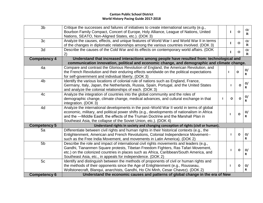| 3 <sub>b</sub>      | Critique the successes and failures of initiatives to create international security (e.g.,<br>Bourbon Family Compact, Concert of Europe, Holy Alliance, League of Nations, United<br>Nations, SEATO, Non-Aligned States, etc.). (DOK 3)                                                                                                            |  | $\mathbf I$  | $\mathbf 0$  | O/<br>R                       |  |
|---------------------|----------------------------------------------------------------------------------------------------------------------------------------------------------------------------------------------------------------------------------------------------------------------------------------------------------------------------------------------------|--|--------------|--------------|-------------------------------|--|
| 3c                  | Analyze the causes, effects, and unique features of World War I and World War II in terms<br>of the changes in diplomatic relationships among the various countries involved. (DOK 3)                                                                                                                                                              |  | T            | $\mathbf 0$  | O/<br>$\mathbf R$             |  |
| 3d                  | Describe the causes of the Cold War and its effects on contemporary world affairs. (DOK<br>2)                                                                                                                                                                                                                                                      |  | I            | $\Omega$     | $\mathbf{O}/$<br>$\mathbf{R}$ |  |
| <b>Competency 4</b> | Understand that increased interactions among people have resulted from: technological and<br>communication innovation, political and economic change, and demographic and climate change.                                                                                                                                                          |  |              |              |                               |  |
| 4a                  | Compare and contrast the Glorious Revolution of England, the American Revolution, and<br>the French Revolution and their enduring effects worldwide on the political expectations<br>for self-government and individual liberty. (DOK 3)                                                                                                           |  |              | $\mathbf{o}$ | O/<br>R                       |  |
| 4 <sub>b</sub>      | Identify the various locations of colonial rule of nations such as England, France,<br>Germany, Italy, Japan, the Netherlands, Russia, Spain, Portugal, and the United States<br>and analyze the colonial relationships of each. (DOK 3)                                                                                                           |  |              | $\mathbf{o}$ | O/<br>R                       |  |
| 4c                  | Analyze the integration of countries into the global community and the roles of<br>demographic change, climate change, medical advances, and cultural exchange in that<br>integration. (DOK 3)                                                                                                                                                     |  | $\mathbf{o}$ | $\Omega$     | O/<br>R                       |  |
| 4d                  | Analyze the international developments in the post-World War II world in terms of global<br>economic, military, and political power shifts (e.g., developments of nationalism in Africa<br>and the -Middle Eastll, the effects of the Truman Doctrine and the Marshall Plan in<br>Southeast Asia, the collapse of the Soviet Union, etc.). (DOK 4) |  |              | $\mathbf{o}$ | O/<br>R                       |  |
| <b>Competency 5</b> | Understand rights in society and changing conception of rights (civil or human).                                                                                                                                                                                                                                                                   |  |              |              |                               |  |
| 5a                  | Differentiate between civil rights and human rights in their historical contexts (e.g., the<br>Enlightenment, American and French Revolutions, Colonial Independence Movement--<br>such as the Free India Movement, and movements in Latin America). (DOK 2)                                                                                       |  |              | $\mathbf{o}$ | O/<br>R                       |  |
| 5 <sub>b</sub>      | Describe the role and impact of international civil rights movements and leaders (e.g.,<br>Gandhi, Tiananmen Square protests, Tibetan Freedom Fighters, Ras Tafari Movement,<br>etc.) on the colonized countries in places such as Africa, Caribbean/South America, and<br>Southeast Asia, etc., in appeals for independence. (DOK 2)              |  |              | $\Omega$     | O/<br>R                       |  |
| 5c                  | Identify and distinguish between the methods of proponents of civil or human rights and<br>the methods of their opponents since the Age of Enlightenment (e.g., Rousseau,<br>Wollstonecraft, Blanqui, anarchists, Gandhi, Ho Chi Minh, Cesar Chavez). (DOK 2)                                                                                      |  |              | O            | O/<br>R                       |  |
| <b>Competency 6</b> | Understand the economic causes and patterns of global change in the era of New                                                                                                                                                                                                                                                                     |  |              |              |                               |  |